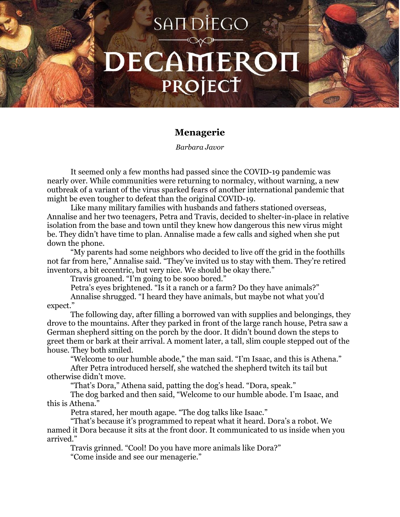## SAIT DIEGO DECAMEROI PROJECT

## **Menagerie**

*Barbara Javor*

It seemed only a few months had passed since the COVID-19 pandemic was nearly over. While communities were returning to normalcy, without warning, a new outbreak of a variant of the virus sparked fears of another international pandemic that might be even tougher to defeat than the original COVID-19.

Like many military families with husbands and fathers stationed overseas, Annalise and her two teenagers, Petra and Travis, decided to shelter-in-place in relative isolation from the base and town until they knew how dangerous this new virus might be. They didn't have time to plan. Annalise made a few calls and sighed when she put down the phone.

"My parents had some neighbors who decided to live off the grid in the foothills not far from here," Annalise said. "They've invited us to stay with them. They're retired inventors, a bit eccentric, but very nice. We should be okay there."

Travis groaned. "I'm going to be sooo bored."

Petra's eyes brightened. "Is it a ranch or a farm? Do they have animals?"

Annalise shrugged. "I heard they have animals, but maybe not what you'd expect."

The following day, after filling a borrowed van with supplies and belongings, they drove to the mountains. After they parked in front of the large ranch house, Petra saw a German shepherd sitting on the porch by the door. It didn't bound down the steps to greet them or bark at their arrival. A moment later, a tall, slim couple stepped out of the house. They both smiled.

"Welcome to our humble abode," the man said. "I'm Isaac, and this is Athena."

After Petra introduced herself, she watched the shepherd twitch its tail but otherwise didn't move.

"That's Dora," Athena said, patting the dog's head. "Dora, speak."

The dog barked and then said, "Welcome to our humble abode. I'm Isaac, and this is Athena."

Petra stared, her mouth agape. "The dog talks like Isaac."

"That's because it's programmed to repeat what it heard. Dora's a robot. We named it Dora because it sits at the front door. It communicated to us inside when you arrived."

Travis grinned. "Cool! Do you have more animals like Dora?"

"Come inside and see our menagerie."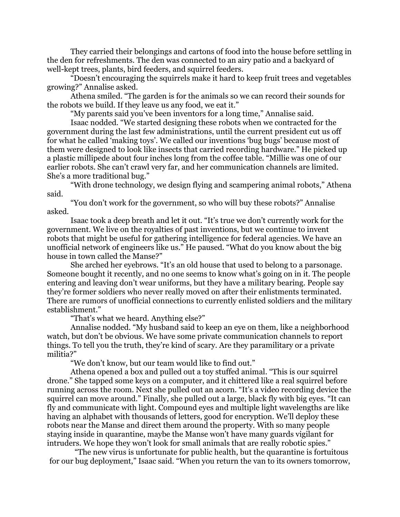They carried their belongings and cartons of food into the house before settling in the den for refreshments. The den was connected to an airy patio and a backyard of well-kept trees, plants, bird feeders, and squirrel feeders.

"Doesn't encouraging the squirrels make it hard to keep fruit trees and vegetables growing?" Annalise asked.

Athena smiled. "The garden is for the animals so we can record their sounds for the robots we build. If they leave us any food, we eat it."

"My parents said you've been inventors for a long time," Annalise said.

Isaac nodded. "We started designing these robots when we contracted for the government during the last few administrations, until the current president cut us off for what he called 'making toys'. We called our inventions 'bug bugs' because most of them were designed to look like insects that carried recording hardware." He picked up a plastic millipede about four inches long from the coffee table. "Millie was one of our earlier robots. She can't crawl very far, and her communication channels are limited. She's a more traditional bug."

"With drone technology, we design flying and scampering animal robots," Athena said.

"You don't work for the government, so who will buy these robots?" Annalise asked.

Isaac took a deep breath and let it out. "It's true we don't currently work for the government. We live on the royalties of past inventions, but we continue to invent robots that might be useful for gathering intelligence for federal agencies. We have an unofficial network of engineers like us." He paused. "What do you know about the big house in town called the Manse?"

She arched her eyebrows. "It's an old house that used to belong to a parsonage. Someone bought it recently, and no one seems to know what's going on in it. The people entering and leaving don't wear uniforms, but they have a military bearing. People say they're former soldiers who never really moved on after their enlistments terminated. There are rumors of unofficial connections to currently enlisted soldiers and the military establishment."

"That's what we heard. Anything else?"

Annalise nodded. "My husband said to keep an eye on them, like a neighborhood watch, but don't be obvious. We have some private communication channels to report things. To tell you the truth, they're kind of scary. Are they paramilitary or a private militia?"

"We don't know, but our team would like to find out."

Athena opened a box and pulled out a toy stuffed animal. "This is our squirrel drone." She tapped some keys on a computer, and it chittered like a real squirrel before running across the room. Next she pulled out an acorn. "It's a video recording device the squirrel can move around." Finally, she pulled out a large, black fly with big eyes. "It can fly and communicate with light. Compound eyes and multiple light wavelengths are like having an alphabet with thousands of letters, good for encryption. We'll deploy these robots near the Manse and direct them around the property. With so many people staying inside in quarantine, maybe the Manse won't have many guards vigilant for intruders. We hope they won't look for small animals that are really robotic spies."

"The new virus is unfortunate for public health, but the quarantine is fortuitous for our bug deployment," Isaac said. "When you return the van to its owners tomorrow,